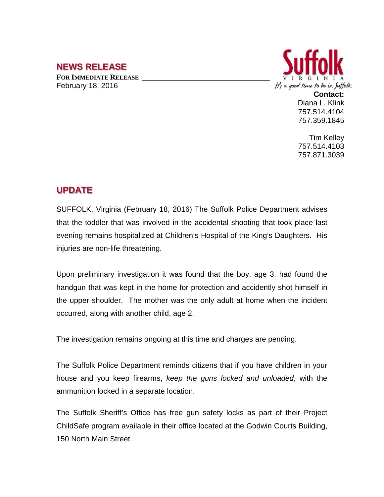## **NEWS RELEASE**

**FOR IMMEDIATE RELEASE \_\_\_\_\_\_\_\_\_\_\_\_\_\_\_\_\_\_\_\_\_\_\_\_\_\_\_\_\_\_\_\_\_\_** February 18, 2016



Diana L. Klink 757.514.4104 757.359.1845

Tim Kelley 757.514.4103 757.871.3039

## **UPDATE**

SUFFOLK, Virginia (February 18, 2016) The Suffolk Police Department advises that the toddler that was involved in the accidental shooting that took place last evening remains hospitalized at Children's Hospital of the King's Daughters. His injuries are non-life threatening.

Upon preliminary investigation it was found that the boy, age 3, had found the handgun that was kept in the home for protection and accidently shot himself in the upper shoulder. The mother was the only adult at home when the incident occurred, along with another child, age 2.

The investigation remains ongoing at this time and charges are pending.

The Suffolk Police Department reminds citizens that if you have children in your house and you keep firearms, *keep the guns locked and unloaded*, with the ammunition locked in a separate location.

The Suffolk Sheriff's Office has free gun safety locks as part of their Project ChildSafe program available in their office located at the Godwin Courts Building, 150 North Main Street.